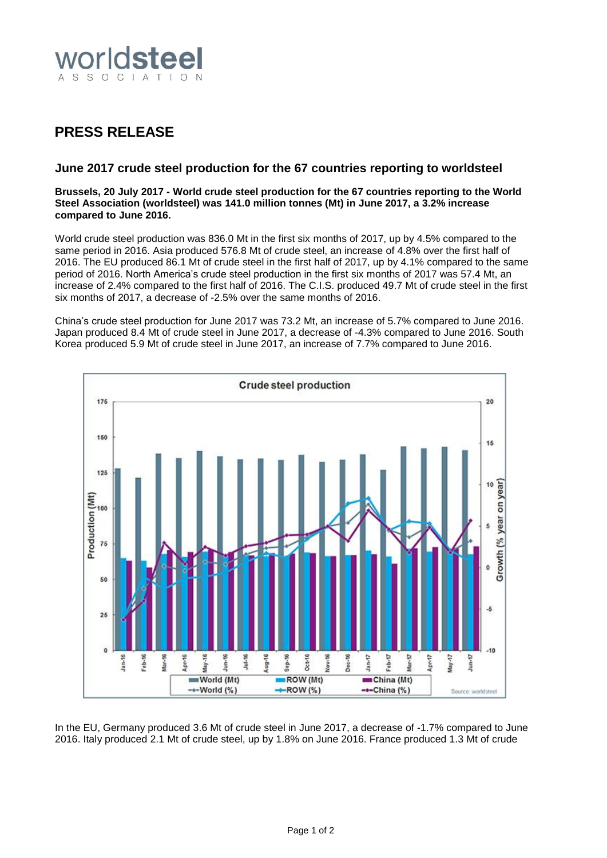

# **PRESS RELEASE**

## **June 2017 crude steel production for the 67 countries reporting to worldsteel**

#### **Brussels, 20 July 2017 - World crude steel production for the 67 countries reporting to the World Steel Association (worldsteel) was 141.0 million tonnes (Mt) in June 2017, a 3.2% increase compared to June 2016.**

World crude steel production was 836.0 Mt in the first six months of 2017, up by 4.5% compared to the same period in 2016. Asia produced 576.8 Mt of crude steel, an increase of 4.8% over the first half of 2016. The EU produced 86.1 Mt of crude steel in the first half of 2017, up by 4.1% compared to the same period of 2016. North America's crude steel production in the first six months of 2017 was 57.4 Mt, an increase of 2.4% compared to the first half of 2016. The C.I.S. produced 49.7 Mt of crude steel in the first six months of 2017, a decrease of -2.5% over the same months of 2016.

China's crude steel production for June 2017 was 73.2 Mt, an increase of 5.7% compared to June 2016. Japan produced 8.4 Mt of crude steel in June 2017, a decrease of -4.3% compared to June 2016. South Korea produced 5.9 Mt of crude steel in June 2017, an increase of 7.7% compared to June 2016.



In the EU, Germany produced 3.6 Mt of crude steel in June 2017, a decrease of -1.7% compared to June 2016. Italy produced 2.1 Mt of crude steel, up by 1.8% on June 2016. France produced 1.3 Mt of crude